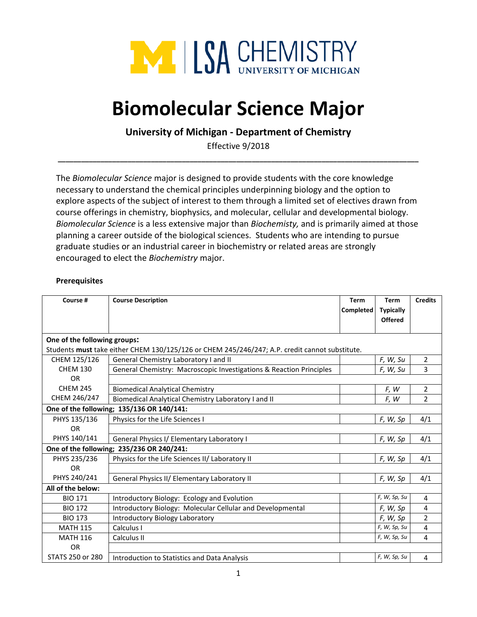

# **Biomolecular Science Major**

## **University of Michigan - Department of Chemistry**

Effective 9/2018 **\_\_\_\_\_\_\_\_\_\_\_\_\_\_\_\_\_\_\_\_\_\_\_\_\_\_\_\_\_\_\_\_\_\_\_\_\_\_\_\_\_\_\_\_\_\_\_\_\_\_\_\_\_\_\_\_\_\_\_\_\_\_\_\_\_\_\_\_\_\_\_\_\_\_\_\_\_\_\_\_\_\_\_\_\_\_\_\_\_\_\_\_\_**

The *Biomolecular Science* major is designed to provide students with the core knowledge necessary to understand the chemical principles underpinning biology and the option to explore aspects of the subject of interest to them through a limited set of electives drawn from course offerings in chemistry, biophysics, and molecular, cellular and developmental biology. *Biomolecular Science* is a less extensive major than *Biochemisty,* and is primarily aimed at those planning a career outside of the biological sciences. Students who are intending to pursue graduate studies or an industrial career in biochemistry or related areas are strongly encouraged to elect the *Biochemistry* major.

#### **Prerequisites**

| Course #                                                                                       | <b>Course Description</b>                                           | <b>Term</b><br>Completed | <b>Term</b><br><b>Typically</b><br><b>Offered</b> | <b>Credits</b> |  |  |
|------------------------------------------------------------------------------------------------|---------------------------------------------------------------------|--------------------------|---------------------------------------------------|----------------|--|--|
| One of the following groups:                                                                   |                                                                     |                          |                                                   |                |  |  |
| Students must take either CHEM 130/125/126 or CHEM 245/246/247; A.P. credit cannot substitute. |                                                                     |                          |                                                   |                |  |  |
| CHEM 125/126                                                                                   | General Chemistry Laboratory I and II                               |                          | F, W, Su                                          | $\overline{2}$ |  |  |
| <b>CHEM 130</b>                                                                                | General Chemistry: Macroscopic Investigations & Reaction Principles |                          | F, W, Su                                          | 3              |  |  |
| <b>OR</b>                                                                                      |                                                                     |                          |                                                   |                |  |  |
| <b>CHEM 245</b>                                                                                | <b>Biomedical Analytical Chemistry</b>                              |                          | F, W                                              | $\overline{2}$ |  |  |
| CHEM 246/247                                                                                   | Biomedical Analytical Chemistry Laboratory I and II                 |                          | F, W                                              | $\overline{2}$ |  |  |
| One of the following; 135/136 OR 140/141:                                                      |                                                                     |                          |                                                   |                |  |  |
| PHYS 135/136                                                                                   | Physics for the Life Sciences I                                     |                          | F, W, Sp                                          | 4/1            |  |  |
| <b>OR</b>                                                                                      |                                                                     |                          |                                                   |                |  |  |
| PHYS 140/141                                                                                   | General Physics I/ Elementary Laboratory I                          |                          | F, W, Sp                                          | 4/1            |  |  |
|                                                                                                | One of the following; 235/236 OR 240/241:                           |                          |                                                   |                |  |  |
| PHYS 235/236                                                                                   | Physics for the Life Sciences II/ Laboratory II                     |                          | F, W, Sp                                          | 4/1            |  |  |
| <b>OR</b>                                                                                      |                                                                     |                          |                                                   |                |  |  |
| PHYS 240/241                                                                                   | General Physics II/ Elementary Laboratory II                        |                          | F, W, Sp                                          | 4/1            |  |  |
| All of the below:                                                                              |                                                                     |                          |                                                   |                |  |  |
| <b>BIO 171</b>                                                                                 | Introductory Biology: Ecology and Evolution                         |                          | F, W, Sp, Su                                      | 4              |  |  |
| <b>BIO 172</b>                                                                                 | Introductory Biology: Molecular Cellular and Developmental          |                          | F, W, Sp                                          | 4              |  |  |
| <b>BIO 173</b>                                                                                 | <b>Introductory Biology Laboratory</b>                              |                          | F, W, Sp                                          | $\overline{2}$ |  |  |
| <b>MATH 115</b>                                                                                | Calculus I                                                          |                          | F, W, Sp, Su                                      | 4              |  |  |
| <b>MATH 116</b>                                                                                | Calculus II                                                         |                          | F, W, Sp, Su                                      | 4              |  |  |
| <b>OR</b>                                                                                      |                                                                     |                          |                                                   |                |  |  |
| STATS 250 or 280                                                                               | Introduction to Statistics and Data Analysis                        |                          | F, W, Sp, Su                                      | 4              |  |  |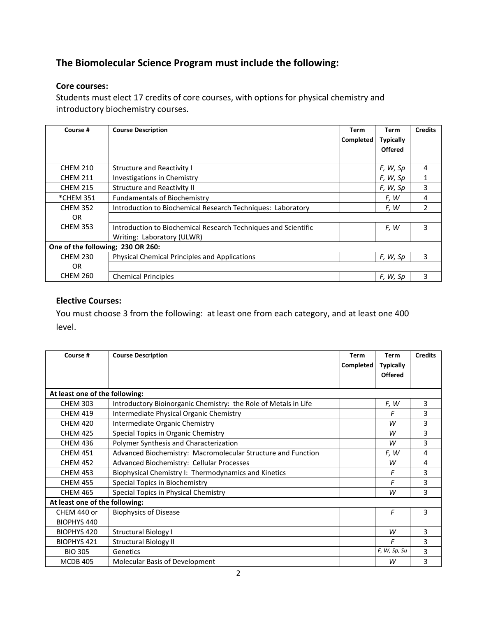# **The Biomolecular Science Program must include the following:**

### **Core courses:**

Students must elect 17 credits of core courses, with options for physical chemistry and introductory biochemistry courses.

| Course #                          | <b>Course Description</b>                                      | Term             | Term             | <b>Credits</b> |  |
|-----------------------------------|----------------------------------------------------------------|------------------|------------------|----------------|--|
|                                   |                                                                | <b>Completed</b> | <b>Typically</b> |                |  |
|                                   |                                                                |                  | <b>Offered</b>   |                |  |
|                                   |                                                                |                  |                  |                |  |
| <b>CHEM 210</b>                   | <b>Structure and Reactivity I</b>                              |                  | F, W, Sp         | 4              |  |
| <b>CHEM 211</b>                   | Investigations in Chemistry                                    |                  | F, W, Sp         | $\mathbf{1}$   |  |
| <b>CHEM 215</b>                   | <b>Structure and Reactivity II</b>                             |                  | F, W, Sp         | 3              |  |
| *CHEM 351                         | <b>Fundamentals of Biochemistry</b>                            |                  | F, W             | 4              |  |
| <b>CHEM 352</b>                   | Introduction to Biochemical Research Techniques: Laboratory    |                  | F, W             | $\overline{2}$ |  |
| 0R                                |                                                                |                  |                  |                |  |
| <b>CHEM 353</b>                   | Introduction to Biochemical Research Techniques and Scientific |                  | F, W             | 3              |  |
|                                   | Writing: Laboratory (ULWR)                                     |                  |                  |                |  |
| One of the following; 230 OR 260: |                                                                |                  |                  |                |  |
| <b>CHEM 230</b>                   | <b>Physical Chemical Principles and Applications</b>           |                  | F, W, Sp         | 3              |  |
| OR.                               |                                                                |                  |                  |                |  |
| <b>CHEM 260</b>                   | <b>Chemical Principles</b>                                     |                  | F, W, Sp         | 3              |  |

## **Elective Courses:**

You must choose 3 from the following: at least one from each category, and at least one 400 level.

| Course #                       | <b>Course Description</b>                                       | <b>Term</b><br>Completed | <b>Term</b><br><b>Typically</b><br><b>Offered</b> | <b>Credits</b> |  |
|--------------------------------|-----------------------------------------------------------------|--------------------------|---------------------------------------------------|----------------|--|
| At least one of the following: |                                                                 |                          |                                                   |                |  |
| <b>CHEM 303</b>                | Introductory Bioinorganic Chemistry: the Role of Metals in Life |                          | F, W                                              | 3              |  |
| <b>CHEM 419</b>                | Intermediate Physical Organic Chemistry                         |                          | F                                                 | 3              |  |
| <b>CHEM 420</b>                | Intermediate Organic Chemistry                                  |                          | W                                                 | 3              |  |
| <b>CHEM 425</b>                | Special Topics in Organic Chemistry                             |                          | W                                                 | 3              |  |
| <b>CHEM 436</b>                | Polymer Synthesis and Characterization                          |                          | W                                                 | 3              |  |
| <b>CHEM 451</b>                | Advanced Biochemistry: Macromolecular Structure and Function    |                          | F, W                                              | 4              |  |
| <b>CHEM 452</b>                | Advanced Biochemistry: Cellular Processes                       |                          | W                                                 | 4              |  |
| <b>CHEM 453</b>                | Biophysical Chemistry I: Thermodynamics and Kinetics            |                          | F                                                 | 3              |  |
| <b>CHEM 455</b>                | Special Topics in Biochemistry                                  |                          | F                                                 | 3              |  |
| <b>CHEM 465</b>                | Special Topics in Physical Chemistry                            |                          | W                                                 | 3              |  |
| At least one of the following: |                                                                 |                          |                                                   |                |  |
| CHEM 440 or                    | <b>Biophysics of Disease</b>                                    |                          | F                                                 | 3              |  |
| <b>BIOPHYS 440</b>             |                                                                 |                          |                                                   |                |  |
| BIOPHYS 420                    | <b>Structural Biology I</b>                                     |                          | W                                                 | 3              |  |
| <b>BIOPHYS 421</b>             | <b>Structural Biology II</b>                                    |                          | F                                                 | 3              |  |
| <b>BIO 305</b>                 | Genetics                                                        |                          | F, W, Sp, Su                                      | 3              |  |
| <b>MCDB 405</b>                | Molecular Basis of Development                                  |                          | W                                                 | 3              |  |